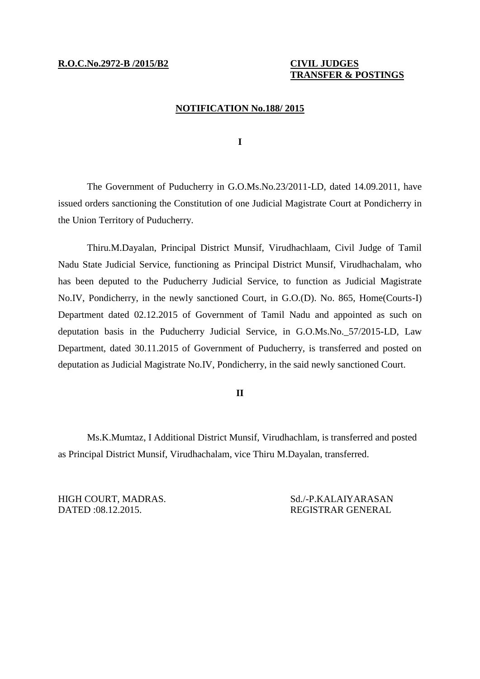# **TRANSFER & POSTINGS**

#### **NOTIFICATION No.188/ 2015**

**I**

The Government of Puducherry in G.O.Ms.No.23/2011-LD, dated 14.09.2011, have issued orders sanctioning the Constitution of one Judicial Magistrate Court at Pondicherry in the Union Territory of Puducherry.

Thiru.M.Dayalan, Principal District Munsif, Virudhachlaam, Civil Judge of Tamil Nadu State Judicial Service, functioning as Principal District Munsif, Virudhachalam, who has been deputed to the Puducherry Judicial Service, to function as Judicial Magistrate No.IV, Pondicherry, in the newly sanctioned Court, in G.O.(D). No. 865, Home(Courts-I) Department dated 02.12.2015 of Government of Tamil Nadu and appointed as such on deputation basis in the Puducherry Judicial Service, in G.O.Ms.No.\_57/2015-LD, Law Department, dated 30.11.2015 of Government of Puducherry, is transferred and posted on deputation as Judicial Magistrate No.IV, Pondicherry, in the said newly sanctioned Court.

### **II**

Ms.K.Mumtaz, I Additional District Munsif, Virudhachlam, is transferred and posted as Principal District Munsif, Virudhachalam, vice Thiru M.Dayalan, transferred.

HIGH COURT, MADRAS. Sd./-P.KALAIYARASAN DATED :08.12.2015. REGISTRAR GENERAL